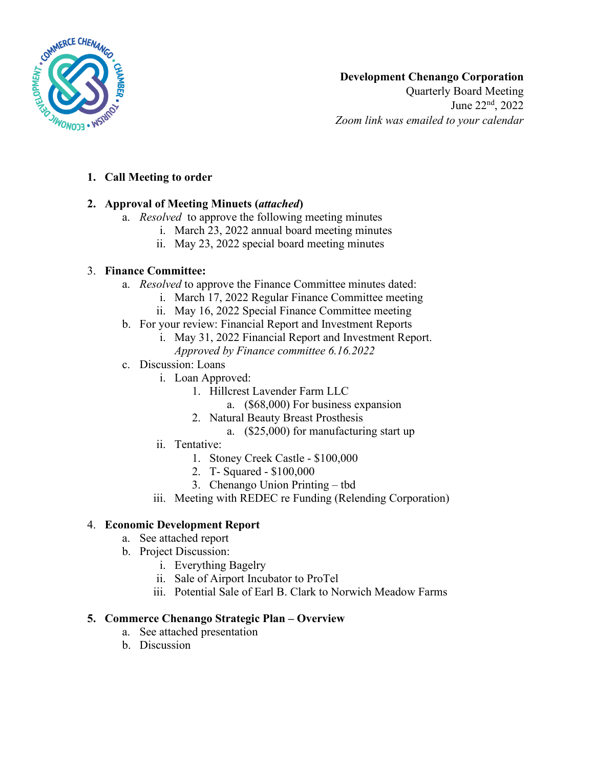

# **Development Chenango Corporation**

Quarterly Board Meeting June 22nd, 2022 *Zoom link was emailed to your calendar*

### **1. Call Meeting to order**

## **2. Approval of Meeting Minuets (***attached***)**

- a. *Resolved* to approve the following meeting minutes
	- i. March 23, 2022 annual board meeting minutes
	- ii. May 23, 2022 special board meeting minutes

## 3. **Finance Committee:**

- a. *Resolved* to approve the Finance Committee minutes dated:
	- i. March 17, 2022 Regular Finance Committee meeting
	- ii. May 16, 2022 Special Finance Committee meeting
- b. For your review: Financial Report and Investment Reports
	- i. May 31, 2022 Financial Report and Investment Report.
		- *Approved by Finance committee 6.16.2022*
- c. Discussion: Loans
	- i. Loan Approved:
		- 1. Hillcrest Lavender Farm LLC
			- a. (\$68,000) For business expansion
		- 2. Natural Beauty Breast Prosthesis
			- a. (\$25,000) for manufacturing start up
	- ii. Tentative:
		- 1. Stoney Creek Castle \$100,000
		- 2. T- Squared \$100,000
		- 3. Chenango Union Printing tbd
	- iii. Meeting with REDEC re Funding (Relending Corporation)

## 4. **Economic Development Report**

- a. See attached report
- b. Project Discussion:
	- i. Everything Bagelry
	- ii. Sale of Airport Incubator to ProTel
	- iii. Potential Sale of Earl B. Clark to Norwich Meadow Farms

### **5. Commerce Chenango Strategic Plan – Overview**

- a. See attached presentation
- b. Discussion